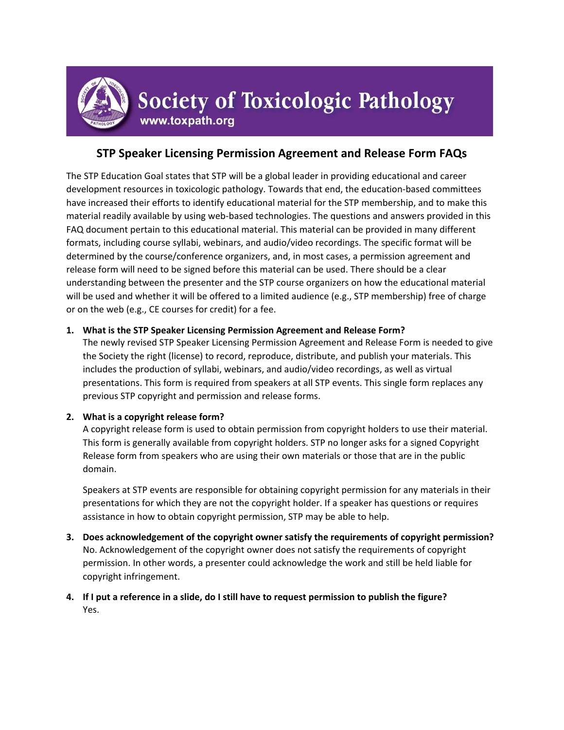

# **STP Speaker Licensing Permission Agreement and Release Form FAQs**

The STP Education Goal states that STP will be a global leader in providing educational and career development resources in toxicologic pathology. Towards that end, the education-based committees have increased their efforts to identify educational material for the STP membership, and to make this material readily available by using web-based technologies. The questions and answers provided in this FAQ document pertain to this educational material. This material can be provided in many different formats, including course syllabi, webinars, and audio/video recordings. The specific format will be determined by the course/conference organizers, and, in most cases, a permission agreement and release form will need to be signed before this material can be used. There should be a clear understanding between the presenter and the STP course organizers on how the educational material will be used and whether it will be offered to a limited audience (e.g., STP membership) free of charge or on the web (e.g., CE courses for credit) for a fee.

# **1. What is the STP Speaker Licensing Permission Agreement and Release Form?**

The newly revised STP Speaker Licensing Permission Agreement and Release Form is needed to give the Society the right (license) to record, reproduce, distribute, and publish your materials. This includes the production of syllabi, webinars, and audio/video recordings, as well as virtual presentations. This form is required from speakers at all STP events. This single form replaces any previous STP copyright and permission and release forms.

# **2. What is a copyright release form?**

A copyright release form is used to obtain permission from copyright holders to use their material. This form is generally available from copyright holders. STP no longer asks for a signed Copyright Release form from speakers who are using their own materials or those that are in the public domain.

Speakers at STP events are responsible for obtaining copyright permission for any materials in their presentations for which they are not the copyright holder. If a speaker has questions or requires assistance in how to obtain copyright permission, STP may be able to help.

- **3. Does acknowledgement of the copyright owner satisfy the requirements of copyright permission?** No. Acknowledgement of the copyright owner does not satisfy the requirements of copyright permission. In other words, a presenter could acknowledge the work and still be held liable for copyright infringement.
- **4. If I put a reference in a slide, do I still have to request permission to publish the figure?** Yes.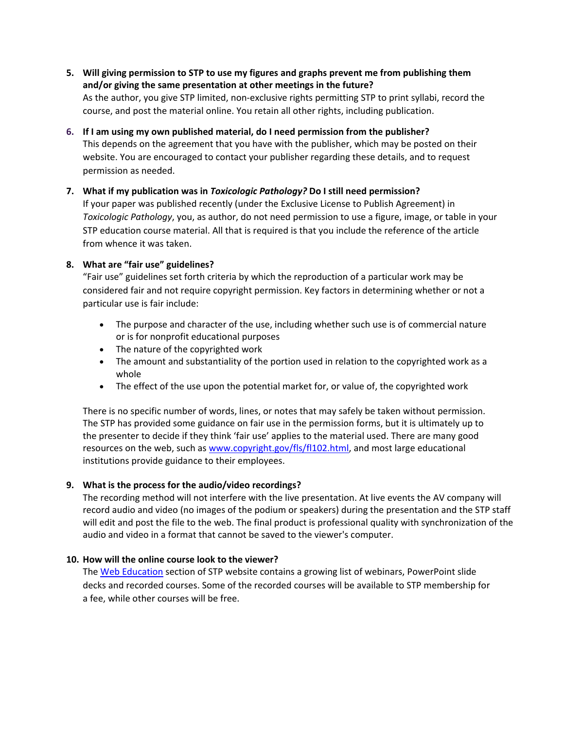- **5. Will giving permission to STP to use my figures and graphs prevent me from publishing them and/or giving the same presentation at other meetings in the future?** As the author, you give STP limited, non-exclusive rights permitting STP to print syllabi, record the course, and post the material online. You retain all other rights, including publication.
- **6. If I am using my own published material, do I need permission from the publisher?** This depends on the agreement that you have with the publisher, which may be posted on their website. You are encouraged to contact your publisher regarding these details, and to request permission as needed.

## **7. What if my publication was in** *Toxicologic Pathology?* **Do I still need permission?**

If your paper was published recently (under the Exclusive License to Publish Agreement) in *Toxicologic Pathology*, you, as author, do not need permission to use a figure, image, or table in your STP education course material. All that is required is that you include the reference of the article from whence it was taken.

# **8. What are "fair use" guidelines?**

"Fair use" guidelines set forth criteria by which the reproduction of a particular work may be considered fair and not require copyright permission. Key factors in determining whether or not a particular use is fair include:

- The purpose and character of the use, including whether such use is of commercial nature or is for nonprofit educational purposes
- The nature of the copyrighted work
- The amount and substantiality of the portion used in relation to the copyrighted work as a whole
- The effect of the use upon the potential market for, or value of, the copyrighted work

There is no specific number of words, lines, or notes that may safely be taken without permission. The STP has provided some guidance on fair use in the permission forms, but it is ultimately up to the presenter to decide if they think 'fair use' applies to the material used. There are many good resources on the web, such as [www.copyright.gov/fls/fl102.html,](http://www.copyright.gov/fls/fl102.html) and most large educational institutions provide guidance to their employees.

# **9. What is the process for the audio/video recordings?**

The recording method will not interfere with the live presentation. At live events the AV company will record audio and video (no images of the podium or speakers) during the presentation and the STP staff will edit and post the file to the web. The final product is professional quality with synchronization of the audio and video in a format that cannot be saved to the viewer's computer.

## **10. How will the online course look to the viewer?**

The [Web Education](http://www.toxpath.org/membersonly/webeducation.asp) section of STP website contains a growing list of webinars, PowerPoint slide decks and recorded courses. Some of the recorded courses will be available to STP membership for a fee, while other courses will be free.